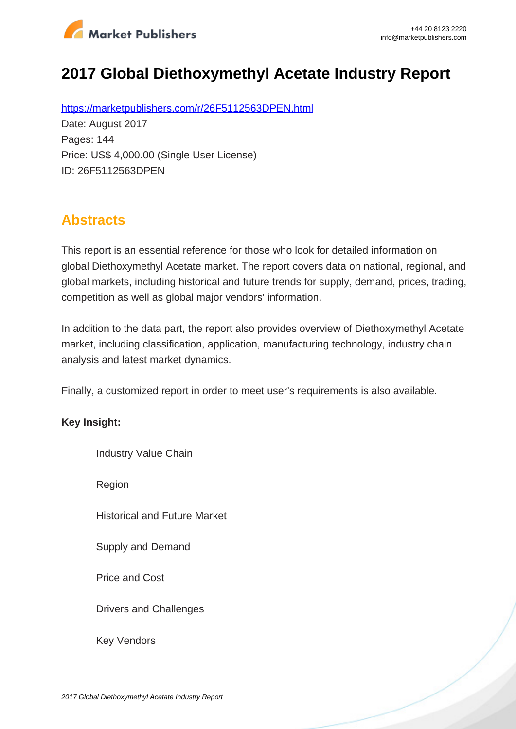

# **2017 Global Diethoxymethyl Acetate Industry Report**

https://marketpublishers.com/r/26F5112563DPEN.html Date: August 2017 Pages: 144 Price: US\$ 4,000.00 (Single User License) ID: 26F5112563DPEN

## **Abstracts**

This report is an essential reference for those who look for detailed information on global Diethoxymethyl Acetate market. The report covers data on national, regional, and global markets, including historical and future trends for supply, demand, prices, trading, competition as well as global major vendors' information.

In addition to the data part, the report also provides overview of Diethoxymethyl Acetate market, including classification, application, manufacturing technology, industry chain analysis and latest market dynamics.

Finally, a customized report in order to meet user's requirements is also available.

#### **Key Insight:**

Industry Value Chain

Region

Historical and Future Market

Supply and Demand

Price and Cost

Drivers and Challenges

Key Vendors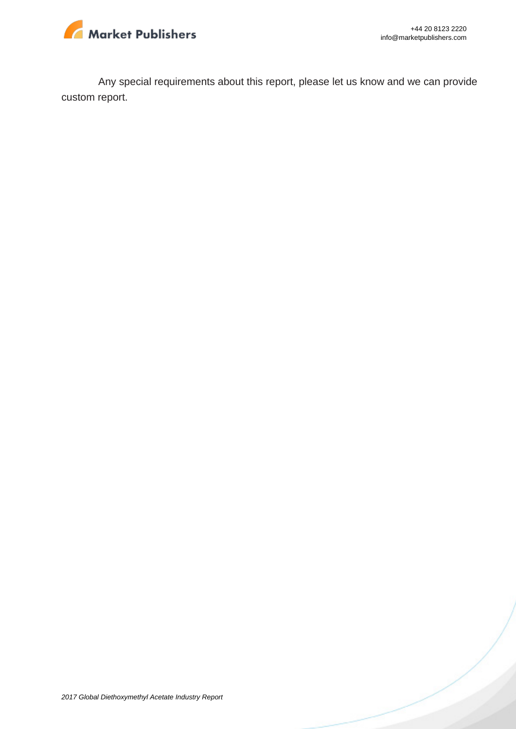

Any special requirements about this report, please let us know and we can provide custom report.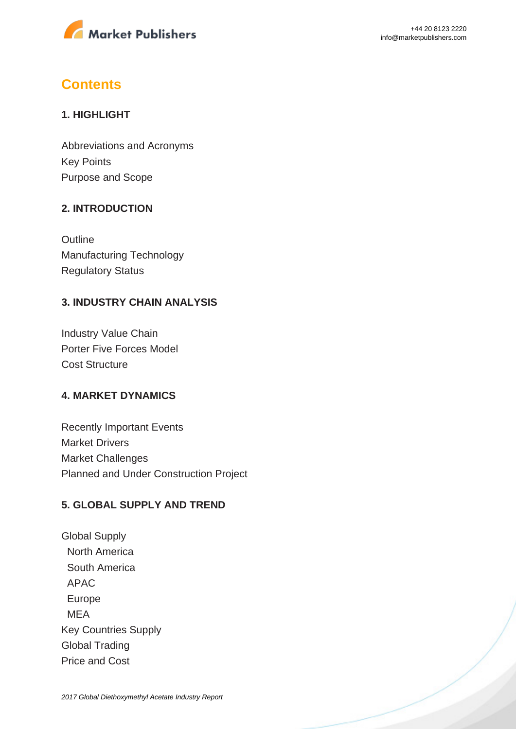

## **Contents**

#### **1. HIGHLIGHT**

Abbreviations and Acronyms Key Points Purpose and Scope

#### **2. INTRODUCTION**

**Outline** Manufacturing Technology Regulatory Status

#### **3. INDUSTRY CHAIN ANALYSIS**

Industry Value Chain Porter Five Forces Model Cost Structure

#### **4. MARKET DYNAMICS**

Recently Important Events Market Drivers Market Challenges Planned and Under Construction Project

#### **5. GLOBAL SUPPLY AND TREND**

Global Supply North America South America APAC Europe MEA Key Countries Supply Global Trading Price and Cost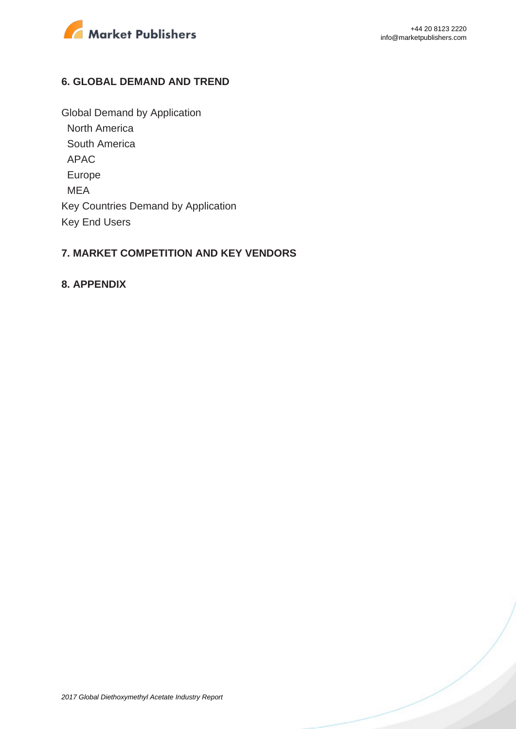

#### **6. GLOBAL DEMAND AND TREND**

Global Demand by Application North America South America APAC Europe MEA Key Countries Demand by Application Key End Users

#### **7. MARKET COMPETITION AND KEY VENDORS**

#### **8. APPENDIX**